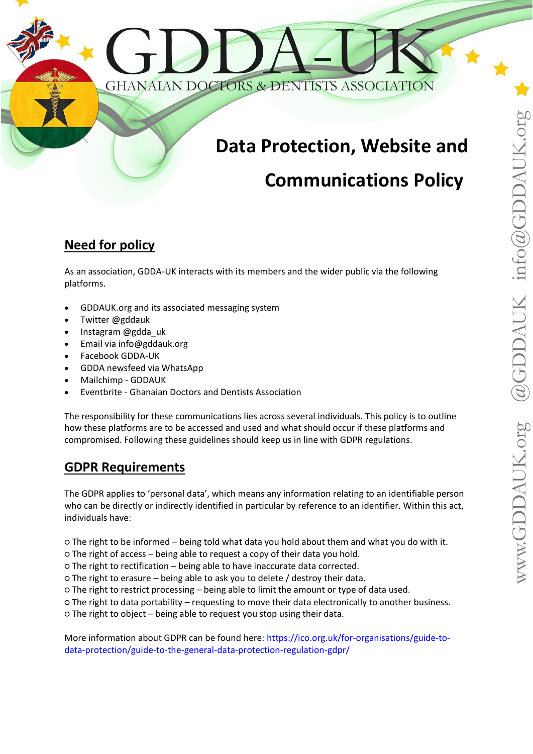# **Data Protection, Website and**

# **Communications Policy**

# **Need for policy**

As an association, GDDA-UK interacts with its members and the wider public via the following platforms.

- GDDAUK.org and its associated messaging system
- Twitter @gddauk
- Instagram @gdda\_uk
- Email via info@gddauk.org
- Facebook GDDA-UK
- GDDA newsfeed via WhatsApp
- Mailchimp GDDAUK
- Eventbrite Ghanaian Doctors and Dentists Association

The responsibility for these communications lies across several individuals. This policy is to outline how these platforms are to be accessed and used and what should occur if these platforms and compromised. Following these guidelines should keep us in line with GDPR regulations.

# **GDPR Requirements**

The GDPR applies to 'personal data', which means any information relating to an identifiable person who can be directly or indirectly identified in particular by reference to an identifier. Within this act, individuals have:

○ The right to be informed – being told what data you hold about them and what you do with it.

- The right of access being able to request a copy of their data you hold.
- The right to rectification being able to have inaccurate data corrected.
- The right to erasure being able to ask you to delete / destroy their data.
- The right to restrict processing being able to limit the amount or type of data used.
- The right to data portability requesting to move their data electronically to another business.

○ The right to object – being able to request you stop using their data.

More information about GDPR can be found here: [https://ico.org.uk/for-organisations/guide-to](https://ico.org.uk/for-organisations/guide-to-data-protection/guide-to-the-general-data-protection-regulation-gdpr/)[data-protection/guide-to-the-general-data-protection-regulation-gdpr/](https://ico.org.uk/for-organisations/guide-to-data-protection/guide-to-the-general-data-protection-regulation-gdpr/)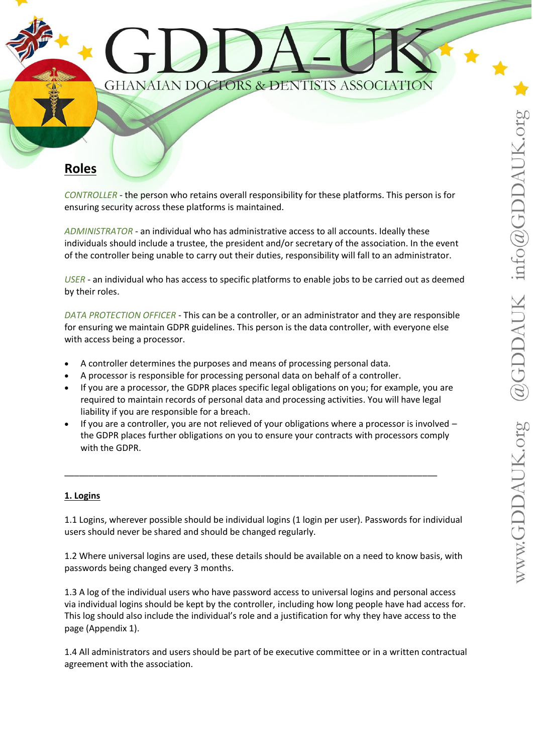

*CONTROLLER* - the person who retains overall responsibility for these platforms. This person is for ensuring security across these platforms is maintained.

*ADMINISTRATOR* - an individual who has administrative access to all accounts. Ideally these individuals should include a trustee, the president and/or secretary of the association. In the event of the controller being unable to carry out their duties, responsibility will fall to an administrator.

*USER* - an individual who has access to specific platforms to enable jobs to be carried out as deemed by their roles.

*DATA PROTECTION OFFICER* - This can be a controller, or an administrator and they are responsible for ensuring we maintain GDPR guidelines. This person is the data controller, with everyone else with access being a processor.

- A controller determines the purposes and means of processing personal data.
- A processor is responsible for processing personal data on behalf of a controller.
- If you are a processor, the GDPR places specific legal obligations on you; for example, you are required to maintain records of personal data and processing activities. You will have legal liability if you are responsible for a breach.
- If you are a controller, you are not relieved of your obligations where a processor is involved the GDPR places further obligations on you to ensure your contracts with processors comply with the GDPR.

\_\_\_\_\_\_\_\_\_\_\_\_\_\_\_\_\_\_\_\_\_\_\_\_\_\_\_\_\_\_\_\_\_\_\_\_\_\_\_\_\_\_\_\_\_\_\_\_\_\_\_\_\_\_\_\_\_\_\_\_\_\_\_\_\_\_\_\_\_\_\_\_\_\_\_\_

#### **1. Logins**

1.1 Logins, wherever possible should be individual logins (1 login per user). Passwords for individual users should never be shared and should be changed regularly.

1.2 Where universal logins are used, these details should be available on a need to know basis, with passwords being changed every 3 months.

1.3 A log of the individual users who have password access to universal logins and personal access via individual logins should be kept by the controller, including how long people have had access for. This log should also include the individual's role and a justification for why they have access to the page (Appendix 1).

1.4 All administrators and users should be part of be executive committee or in a written contractual agreement with the association.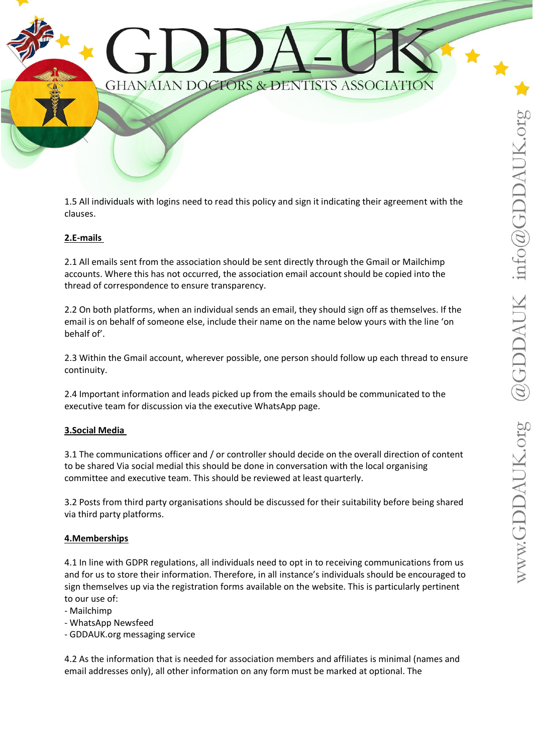

1.5 All individuals with logins need to read this policy and sign it indicating their agreement with the clauses.

## **2.E-mails**

2.1 All emails sent from the association should be sent directly through the Gmail or Mailchimp accounts. Where this has not occurred, the association email account should be copied into the thread of correspondence to ensure transparency.

2.2 On both platforms, when an individual sends an email, they should sign off as themselves. If the email is on behalf of someone else, include their name on the name below yours with the line 'on behalf of'.

2.3 Within the Gmail account, wherever possible, one person should follow up each thread to ensure continuity.

2.4 Important information and leads picked up from the emails should be communicated to the executive team for discussion via the executive WhatsApp page.

#### **3.Social Media**

3.1 The communications officer and / or controller should decide on the overall direction of content to be shared Via social medial this should be done in conversation with the local organising committee and executive team. This should be reviewed at least quarterly.

3.2 Posts from third party organisations should be discussed for their suitability before being shared via third party platforms.

#### **4.Memberships**

4.1 In line with GDPR regulations, all individuals need to opt in to receiving communications from us and for us to store their information. Therefore, in all instance's individuals should be encouraged to sign themselves up via the registration forms available on the website. This is particularly pertinent to our use of:

- Mailchimp

- WhatsApp Newsfeed

- GDDAUK.org messaging service

4.2 As the information that is needed for association members and affiliates is minimal (names and email addresses only), all other information on any form must be marked at optional. The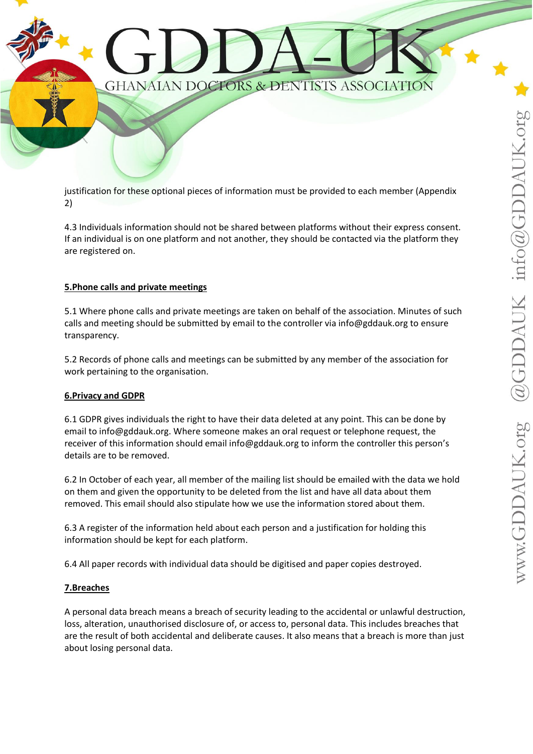

justification for these optional pieces of information must be provided to each member (Appendix 2)

4.3 Individuals information should not be shared between platforms without their express consent. If an individual is on one platform and not another, they should be contacted via the platform they are registered on.

## **5.Phone calls and private meetings**

5.1 Where phone calls and private meetings are taken on behalf of the association. Minutes of such calls and meeting should be submitted by email to the controller via info@gddauk.org to ensure transparency.

5.2 Records of phone calls and meetings can be submitted by any member of the association for work pertaining to the organisation.

#### **6.Privacy and GDPR**

6.1 GDPR gives individuals the right to have their data deleted at any point. This can be done by email to info@gddauk.org. Where someone makes an oral request or telephone request, the receiver of this information should email info@gddauk.org to inform the controller this person's details are to be removed.

6.2 In October of each year, all member of the mailing list should be emailed with the data we hold on them and given the opportunity to be deleted from the list and have all data about them removed. This email should also stipulate how we use the information stored about them.

6.3 A register of the information held about each person and a justification for holding this information should be kept for each platform.

6.4 All paper records with individual data should be digitised and paper copies destroyed.

## **7.Breaches**

A personal data breach means a breach of security leading to the accidental or unlawful destruction, loss, alteration, unauthorised disclosure of, or access to, personal data. This includes breaches that are the result of both accidental and deliberate causes. It also means that a breach is more than just about losing personal data.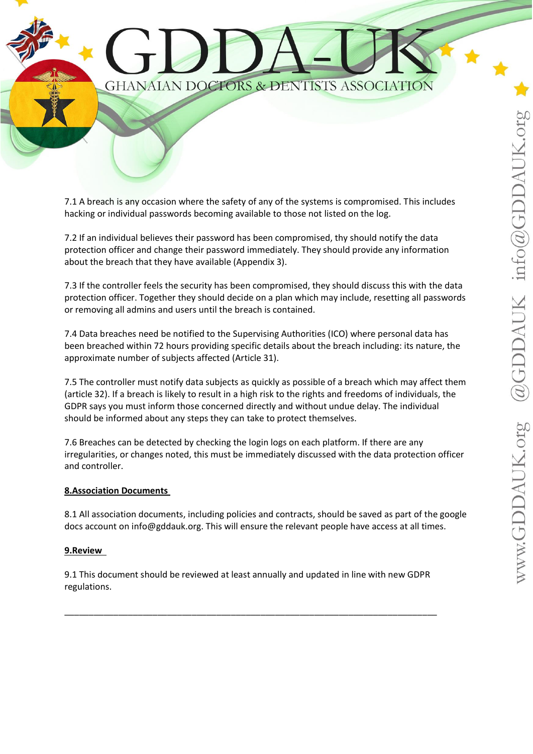

7.1 A breach is any occasion where the safety of any of the systems is compromised. This includes hacking or individual passwords becoming available to those not listed on the log.

7.2 If an individual believes their password has been compromised, thy should notify the data protection officer and change their password immediately. They should provide any information about the breach that they have available (Appendix 3).

7.3 If the controller feels the security has been compromised, they should discuss this with the data protection officer. Together they should decide on a plan which may include, resetting all passwords or removing all admins and users until the breach is contained.

7.4 Data breaches need be notified to the Supervising Authorities (ICO) where personal data has been breached within 72 hours providing specific details about the breach including: its nature, the approximate number of subjects affected (Article 31).

7.5 The controller must notify data subjects as quickly as possible of a breach which may affect them (article 32). If a breach is likely to result in a high risk to the rights and freedoms of individuals, the GDPR says you must inform those concerned directly and without undue delay. The individual should be informed about any steps they can take to protect themselves.

7.6 Breaches can be detected by checking the login logs on each platform. If there are any irregularities, or changes noted, this must be immediately discussed with the data protection officer and controller.

## **8.Association Documents**

8.1 All association documents, including policies and contracts, should be saved as part of the google docs account on info@gddauk.org. This will ensure the relevant people have access at all times.

#### **9.Review**

9.1 This document should be reviewed at least annually and updated in line with new GDPR regulations.

\_\_\_\_\_\_\_\_\_\_\_\_\_\_\_\_\_\_\_\_\_\_\_\_\_\_\_\_\_\_\_\_\_\_\_\_\_\_\_\_\_\_\_\_\_\_\_\_\_\_\_\_\_\_\_\_\_\_\_\_\_\_\_\_\_\_\_\_\_\_\_\_\_\_\_\_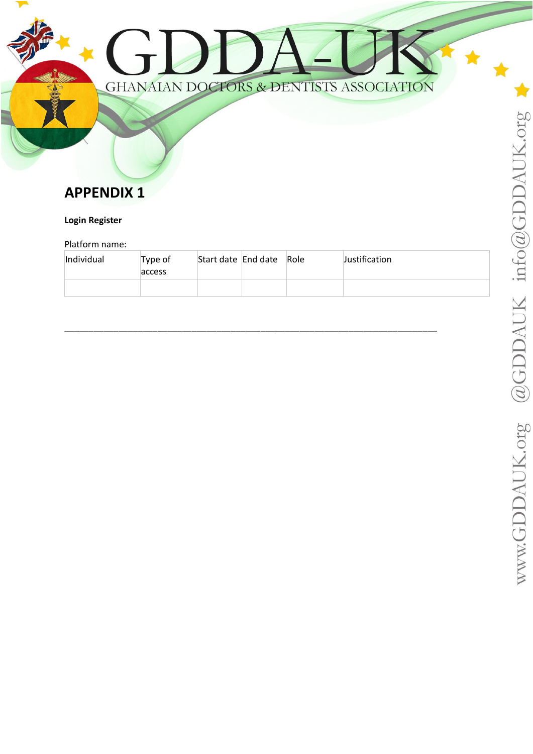# **APPENDIX 1**

# **Login Register**

## Platform name:

| Individual | Type of<br>access | Start date End date Role | Justification |
|------------|-------------------|--------------------------|---------------|
|            |                   |                          |               |

GHANAIAN DOCTORS & DENTISTS ASSOCIATION

\_\_\_\_\_\_\_\_\_\_\_\_\_\_\_\_\_\_\_\_\_\_\_\_\_\_\_\_\_\_\_\_\_\_\_\_\_\_\_\_\_\_\_\_\_\_\_\_\_\_\_\_\_\_\_\_\_\_\_\_\_\_\_\_\_\_\_\_\_\_\_\_\_\_\_\_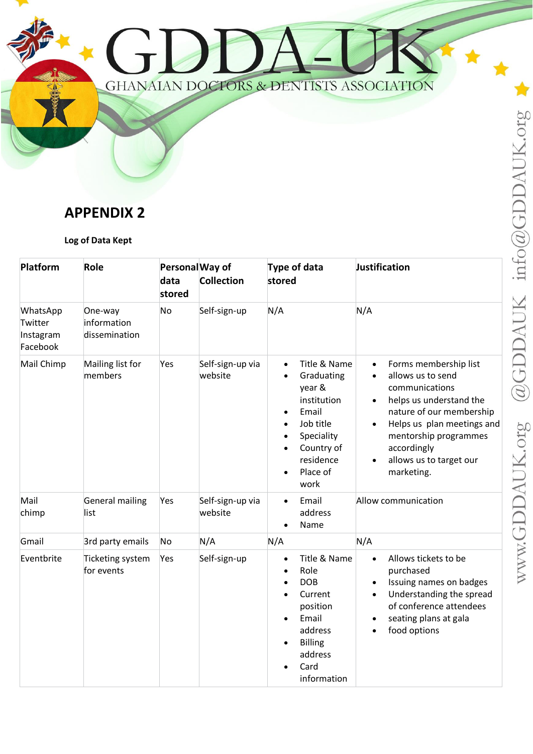

# **APPENDIX 2**

# **Log of Data Kept**

| Platform                                     | Role                                    | Personal Way of<br>data<br>stored | <b>Collection</b>           | <b>Type of data</b><br>stored                                                                                                                                                                                                     | Justification                                                                                                                                                                                                                                                                          |
|----------------------------------------------|-----------------------------------------|-----------------------------------|-----------------------------|-----------------------------------------------------------------------------------------------------------------------------------------------------------------------------------------------------------------------------------|----------------------------------------------------------------------------------------------------------------------------------------------------------------------------------------------------------------------------------------------------------------------------------------|
| WhatsApp<br>Twitter<br>Instagram<br>Facebook | One-way<br>information<br>dissemination | N <sub>o</sub>                    | Self-sign-up                | N/A                                                                                                                                                                                                                               | N/A                                                                                                                                                                                                                                                                                    |
| Mail Chimp                                   | Mailing list for<br>members             | Yes                               | Self-sign-up via<br>website | Title & Name<br>$\bullet$<br>Graduating<br>$\bullet$<br>year &<br>institution<br>Email<br>$\bullet$<br>Job title<br>$\bullet$<br>Speciality<br>$\bullet$<br>Country of<br>$\bullet$<br>residence<br>Place of<br>$\bullet$<br>work | Forms membership list<br>$\bullet$<br>allows us to send<br>$\bullet$<br>communications<br>helps us understand the<br>nature of our membership<br>Helps us plan meetings and<br>$\bullet$<br>mentorship programmes<br>accordingly<br>allows us to target our<br>$\bullet$<br>marketing. |
| Mail<br>chimp                                | General mailing<br>list                 | Yes                               | Self-sign-up via<br>website | Email<br>$\bullet$<br>address<br>Name<br>$\bullet$                                                                                                                                                                                | Allow communication                                                                                                                                                                                                                                                                    |
| Gmail                                        | 3rd party emails                        | No                                | N/A                         | N/A                                                                                                                                                                                                                               | N/A                                                                                                                                                                                                                                                                                    |
| Eventbrite                                   | Ticketing system<br>for events          | Yes                               | Self-sign-up                | Title & Name<br>$\bullet$<br>Role<br>$\bullet$<br><b>DOB</b><br>$\bullet$<br>Current<br>$\bullet$<br>position<br>Email<br>$\bullet$<br>address<br><b>Billing</b><br>$\bullet$<br>address<br>Card<br>$\bullet$<br>information      | Allows tickets to be<br>$\bullet$<br>purchased<br>Issuing names on badges<br>$\bullet$<br>Understanding the spread<br>$\bullet$<br>of conference attendees<br>seating plans at gala<br>food options<br>$\bullet$                                                                       |